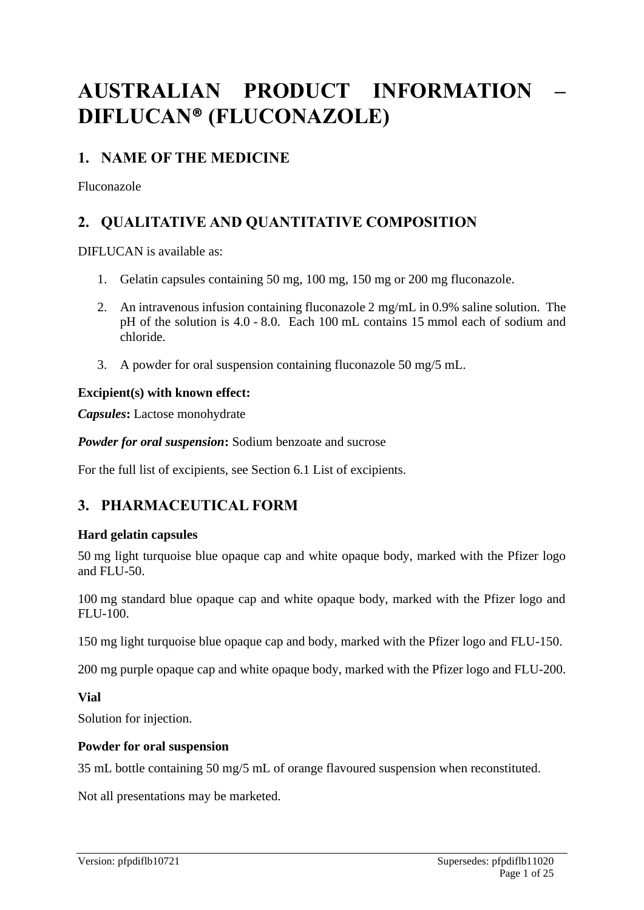# **AUSTRALIAN PRODUCT INFORMATION – DIFLUCAN® (FLUCONAZOLE)**

# **1. NAME OF THE MEDICINE**

Fluconazole

# **2. QUALITATIVE AND QUANTITATIVE COMPOSITION**

DIFLUCAN is available as:

- 1. Gelatin capsules containing 50 mg, 100 mg, 150 mg or 200 mg fluconazole.
- 2. An intravenous infusion containing fluconazole 2 mg/mL in 0.9% saline solution. The pH of the solution is 4.0 - 8.0. Each 100 mL contains 15 mmol each of sodium and chloride.
- 3. A powder for oral suspension containing fluconazole 50 mg/5 mL.

### **Excipient(s) with known effect:**

*Capsules***:** Lactose monohydrate

*Powder for oral suspension***:** Sodium benzoate and sucrose

For the full list of excipients, see Section 6.1 List of excipients.

# **3. PHARMACEUTICAL FORM**

### **Hard gelatin capsules**

50 mg light turquoise blue opaque cap and white opaque body, marked with the Pfizer logo and FLU-50.

100 mg standard blue opaque cap and white opaque body, marked with the Pfizer logo and FLU-100.

150 mg light turquoise blue opaque cap and body, marked with the Pfizer logo and FLU-150.

200 mg purple opaque cap and white opaque body, marked with the Pfizer logo and FLU-200.

**Vial**

Solution for injection.

#### **Powder for oral suspension**

35 mL bottle containing 50 mg/5 mL of orange flavoured suspension when reconstituted.

Not all presentations may be marketed.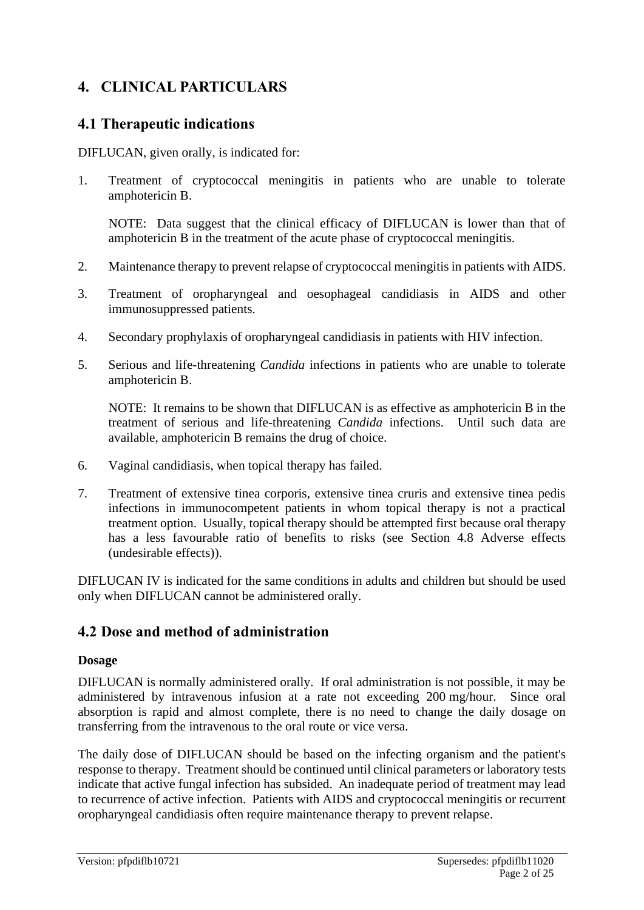# **4. CLINICAL PARTICULARS**

### **4.1 Therapeutic indications**

DIFLUCAN, given orally, is indicated for:

1. Treatment of cryptococcal meningitis in patients who are unable to tolerate amphotericin B.

NOTE: Data suggest that the clinical efficacy of DIFLUCAN is lower than that of amphotericin B in the treatment of the acute phase of cryptococcal meningitis.

- 2. Maintenance therapy to prevent relapse of cryptococcal meningitis in patients with AIDS.
- 3. Treatment of oropharyngeal and oesophageal candidiasis in AIDS and other immunosuppressed patients.
- 4. Secondary prophylaxis of oropharyngeal candidiasis in patients with HIV infection.
- 5. Serious and life-threatening *Candida* infections in patients who are unable to tolerate amphotericin B.

NOTE: It remains to be shown that DIFLUCAN is as effective as amphotericin B in the treatment of serious and life-threatening *Candida* infections. Until such data are available, amphotericin B remains the drug of choice.

- 6. Vaginal candidiasis, when topical therapy has failed.
- 7. Treatment of extensive tinea corporis, extensive tinea cruris and extensive tinea pedis infections in immunocompetent patients in whom topical therapy is not a practical treatment option. Usually, topical therapy should be attempted first because oral therapy has a less favourable ratio of benefits to risks (see Section 4.8 Adverse effects (undesirable effects)).

DIFLUCAN IV is indicated for the same conditions in adults and children but should be used only when DIFLUCAN cannot be administered orally.

### **4.2 Dose and method of administration**

#### **Dosage**

DIFLUCAN is normally administered orally. If oral administration is not possible, it may be administered by intravenous infusion at a rate not exceeding 200 mg/hour. Since oral absorption is rapid and almost complete, there is no need to change the daily dosage on transferring from the intravenous to the oral route or vice versa.

The daily dose of DIFLUCAN should be based on the infecting organism and the patient's response to therapy. Treatment should be continued until clinical parameters or laboratory tests indicate that active fungal infection has subsided. An inadequate period of treatment may lead to recurrence of active infection. Patients with AIDS and cryptococcal meningitis or recurrent oropharyngeal candidiasis often require maintenance therapy to prevent relapse.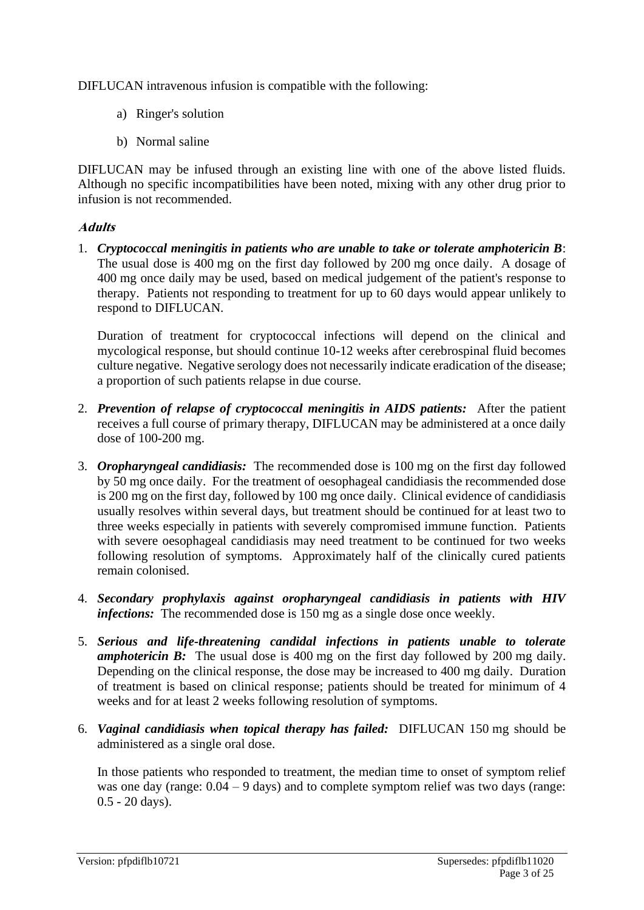DIFLUCAN intravenous infusion is compatible with the following:

- a) Ringer's solution
- b) Normal saline

DIFLUCAN may be infused through an existing line with one of the above listed fluids. Although no specific incompatibilities have been noted, mixing with any other drug prior to infusion is not recommended.

#### **Adults**

1. *Cryptococcal meningitis in patients who are unable to take or tolerate amphotericin B*: The usual dose is 400 mg on the first day followed by 200 mg once daily. A dosage of 400 mg once daily may be used, based on medical judgement of the patient's response to therapy. Patients not responding to treatment for up to 60 days would appear unlikely to respond to DIFLUCAN.

Duration of treatment for cryptococcal infections will depend on the clinical and mycological response, but should continue 10-12 weeks after cerebrospinal fluid becomes culture negative. Negative serology does not necessarily indicate eradication of the disease; a proportion of such patients relapse in due course.

- 2. *Prevention of relapse of cryptococcal meningitis in AIDS patients:* After the patient receives a full course of primary therapy, DIFLUCAN may be administered at a once daily dose of 100-200 mg.
- 3. *Oropharyngeal candidiasis:* The recommended dose is 100 mg on the first day followed by 50 mg once daily. For the treatment of oesophageal candidiasis the recommended dose is 200 mg on the first day, followed by 100 mg once daily. Clinical evidence of candidiasis usually resolves within several days, but treatment should be continued for at least two to three weeks especially in patients with severely compromised immune function. Patients with severe oesophageal candidiasis may need treatment to be continued for two weeks following resolution of symptoms. Approximately half of the clinically cured patients remain colonised.
- 4. *Secondary prophylaxis against oropharyngeal candidiasis in patients with HIV infections:* The recommended dose is 150 mg as a single dose once weekly.
- 5. *Serious and life-threatening candidal infections in patients unable to tolerate amphotericin B*: The usual dose is 400 mg on the first day followed by 200 mg daily. Depending on the clinical response, the dose may be increased to 400 mg daily. Duration of treatment is based on clinical response; patients should be treated for minimum of 4 weeks and for at least 2 weeks following resolution of symptoms.
- 6. *Vaginal candidiasis when topical therapy has failed:* DIFLUCAN 150 mg should be administered as a single oral dose.

In those patients who responded to treatment, the median time to onset of symptom relief was one day (range:  $0.04 - 9$  days) and to complete symptom relief was two days (range: 0.5 - 20 days).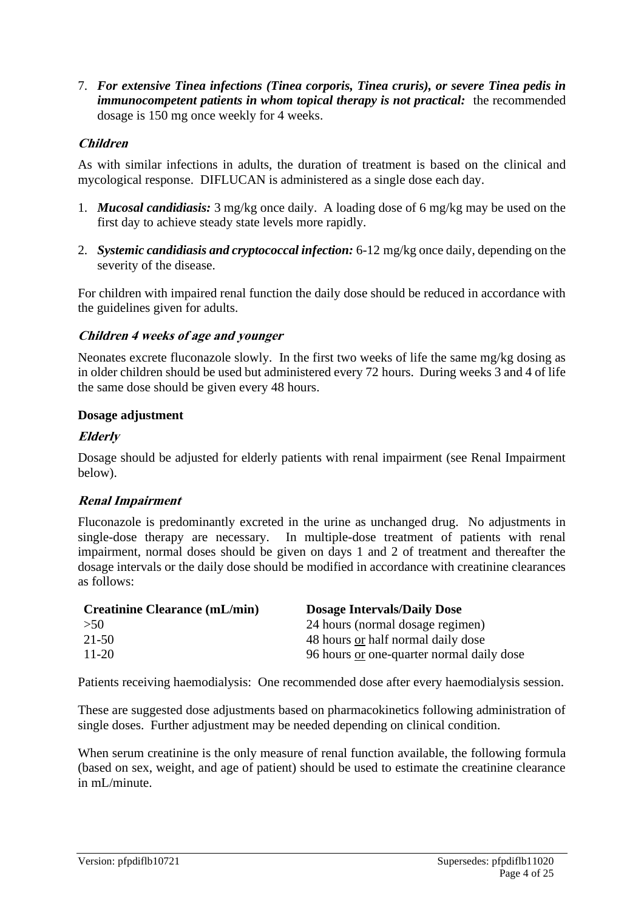7. *For extensive Tinea infections (Tinea corporis, Tinea cruris), or severe Tinea pedis in immunocompetent patients in whom topical therapy is not practical:* the recommended dosage is 150 mg once weekly for 4 weeks.

#### **Children**

As with similar infections in adults, the duration of treatment is based on the clinical and mycological response. DIFLUCAN is administered as a single dose each day.

- 1. *Mucosal candidiasis:* 3 mg/kg once daily. A loading dose of 6 mg/kg may be used on the first day to achieve steady state levels more rapidly.
- 2. *Systemic candidiasis and cryptococcal infection:* 6-12 mg/kg once daily, depending on the severity of the disease.

For children with impaired renal function the daily dose should be reduced in accordance with the guidelines given for adults.

#### **Children 4 weeks of age and younger**

Neonates excrete fluconazole slowly. In the first two weeks of life the same mg/kg dosing as in older children should be used but administered every 72 hours. During weeks 3 and 4 of life the same dose should be given every 48 hours.

#### **Dosage adjustment**

#### **Elderly**

Dosage should be adjusted for elderly patients with renal impairment (see Renal Impairment below).

#### **Renal Impairment**

Fluconazole is predominantly excreted in the urine as unchanged drug. No adjustments in single-dose therapy are necessary. In multiple-dose treatment of patients with renal impairment, normal doses should be given on days 1 and 2 of treatment and thereafter the dosage intervals or the daily dose should be modified in accordance with creatinine clearances as follows:

| <b>Creatinine Clearance (mL/min)</b> | <b>Dosage Intervals/Daily Dose</b>        |
|--------------------------------------|-------------------------------------------|
| >50                                  | 24 hours (normal dosage regimen)          |
| 21-50                                | 48 hours or half normal daily dose        |
| $11 - 20$                            | 96 hours or one-quarter normal daily dose |

Patients receiving haemodialysis: One recommended dose after every haemodialysis session.

These are suggested dose adjustments based on pharmacokinetics following administration of single doses. Further adjustment may be needed depending on clinical condition.

When serum creatinine is the only measure of renal function available, the following formula (based on sex, weight, and age of patient) should be used to estimate the creatinine clearance in mL/minute.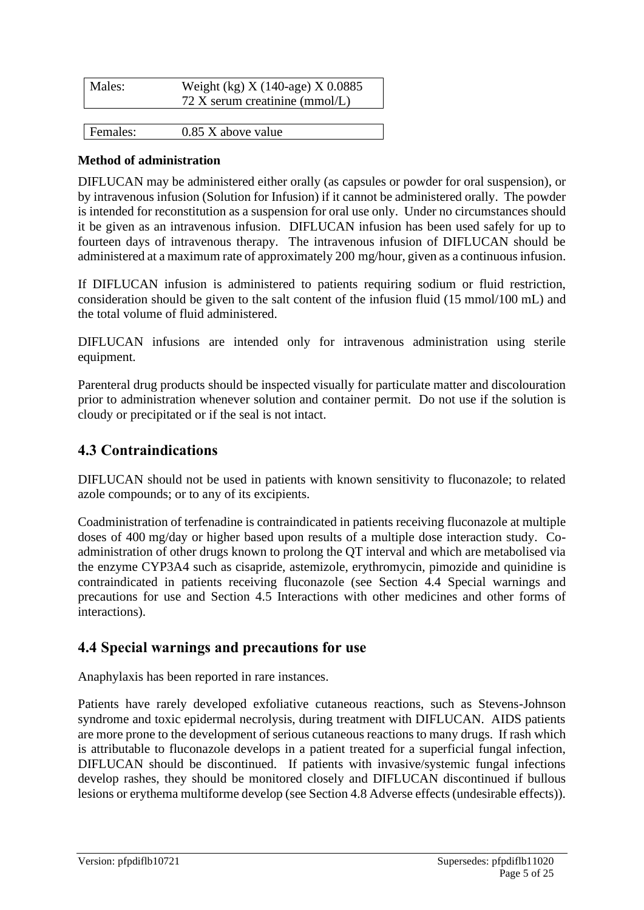| Males:   | Weight (kg) $X(140 \text{-age}) X 0.0885$<br>72 X serum creatinine (mmol/L) |
|----------|-----------------------------------------------------------------------------|
|          |                                                                             |
| Females: | $0.85$ X above value                                                        |

#### **Method of administration**

DIFLUCAN may be administered either orally (as capsules or powder for oral suspension), or by intravenous infusion (Solution for Infusion) if it cannot be administered orally. The powder is intended for reconstitution as a suspension for oral use only. Under no circumstances should it be given as an intravenous infusion. DIFLUCAN infusion has been used safely for up to fourteen days of intravenous therapy. The intravenous infusion of DIFLUCAN should be administered at a maximum rate of approximately 200 mg/hour, given as a continuous infusion.

If DIFLUCAN infusion is administered to patients requiring sodium or fluid restriction, consideration should be given to the salt content of the infusion fluid (15 mmol/100 mL) and the total volume of fluid administered.

DIFLUCAN infusions are intended only for intravenous administration using sterile equipment.

Parenteral drug products should be inspected visually for particulate matter and discolouration prior to administration whenever solution and container permit. Do not use if the solution is cloudy or precipitated or if the seal is not intact.

### **4.3 Contraindications**

DIFLUCAN should not be used in patients with known sensitivity to fluconazole; to related azole compounds; or to any of its excipients.

Coadministration of terfenadine is contraindicated in patients receiving fluconazole at multiple doses of 400 mg/day or higher based upon results of a multiple dose interaction study. Coadministration of other drugs known to prolong the QT interval and which are metabolised via the enzyme CYP3A4 such as cisapride, astemizole, erythromycin, pimozide and quinidine is contraindicated in patients receiving fluconazole (see Section 4.4 Special warnings and precautions for use and Section 4.5 Interactions with other medicines and other forms of interactions).

#### **4.4 Special warnings and precautions for use**

Anaphylaxis has been reported in rare instances.

Patients have rarely developed exfoliative cutaneous reactions, such as Stevens-Johnson syndrome and toxic epidermal necrolysis, during treatment with DIFLUCAN. AIDS patients are more prone to the development of serious cutaneous reactions to many drugs. If rash which is attributable to fluconazole develops in a patient treated for a superficial fungal infection, DIFLUCAN should be discontinued. If patients with invasive/systemic fungal infections develop rashes, they should be monitored closely and DIFLUCAN discontinued if bullous lesions or erythema multiforme develop (see Section 4.8 Adverse effects (undesirable effects)).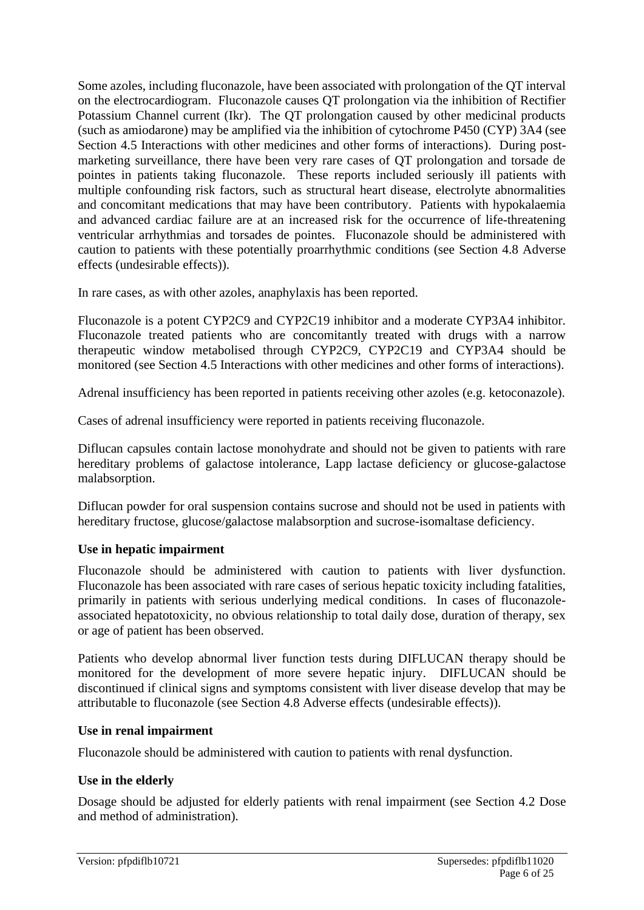Some azoles, including fluconazole, have been associated with prolongation of the QT interval on the electrocardiogram. Fluconazole causes QT prolongation via the inhibition of Rectifier Potassium Channel current (Ikr). The QT prolongation caused by other medicinal products (such as amiodarone) may be amplified via the inhibition of cytochrome P450 (CYP) 3A4 (see Section 4.5 Interactions with other medicines and other forms of interactions). During postmarketing surveillance, there have been very rare cases of QT prolongation and torsade de pointes in patients taking fluconazole. These reports included seriously ill patients with multiple confounding risk factors, such as structural heart disease, electrolyte abnormalities and concomitant medications that may have been contributory. Patients with hypokalaemia and advanced cardiac failure are at an increased risk for the occurrence of life-threatening ventricular arrhythmias and torsades de pointes. Fluconazole should be administered with caution to patients with these potentially proarrhythmic conditions (see Section 4.8 Adverse effects (undesirable effects)).

In rare cases, as with other azoles, anaphylaxis has been reported.

Fluconazole is a potent CYP2C9 and CYP2C19 inhibitor and a moderate CYP3A4 inhibitor. Fluconazole treated patients who are concomitantly treated with drugs with a narrow therapeutic window metabolised through CYP2C9, CYP2C19 and CYP3A4 should be monitored (see Section 4.5 Interactions with other medicines and other forms of interactions).

Adrenal insufficiency has been reported in patients receiving other azoles (e.g. ketoconazole).

Cases of adrenal insufficiency were reported in patients receiving fluconazole.

Diflucan capsules contain lactose monohydrate and should not be given to patients with rare hereditary problems of galactose intolerance, Lapp lactase deficiency or glucose-galactose malabsorption.

Diflucan powder for oral suspension contains sucrose and should not be used in patients with hereditary fructose, glucose/galactose malabsorption and sucrose-isomaltase deficiency.

#### **Use in hepatic impairment**

Fluconazole should be administered with caution to patients with liver dysfunction. Fluconazole has been associated with rare cases of serious hepatic toxicity including fatalities, primarily in patients with serious underlying medical conditions. In cases of fluconazoleassociated hepatotoxicity, no obvious relationship to total daily dose, duration of therapy, sex or age of patient has been observed.

Patients who develop abnormal liver function tests during DIFLUCAN therapy should be monitored for the development of more severe hepatic injury. DIFLUCAN should be discontinued if clinical signs and symptoms consistent with liver disease develop that may be attributable to fluconazole (see Section 4.8 Adverse effects (undesirable effects)).

#### **Use in renal impairment**

Fluconazole should be administered with caution to patients with renal dysfunction.

#### **Use in the elderly**

Dosage should be adjusted for elderly patients with renal impairment (see Section 4.2 Dose and method of administration).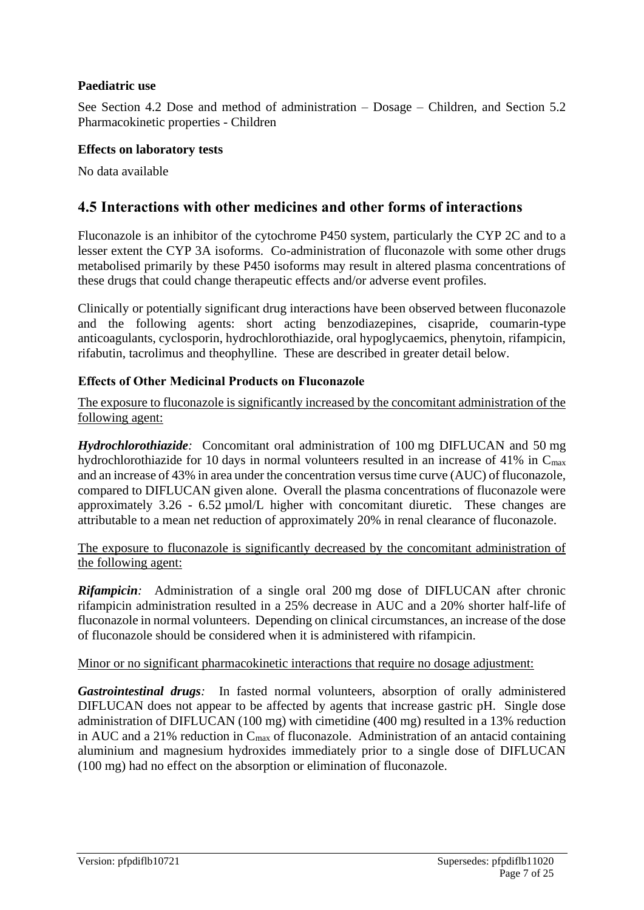#### **Paediatric use**

See Section 4.2 Dose and method of administration – Dosage – Children, and Section 5.2 Pharmacokinetic properties - Children

#### **Effects on laboratory tests**

No data available

### **4.5 Interactions with other medicines and other forms of interactions**

Fluconazole is an inhibitor of the cytochrome P450 system, particularly the CYP 2C and to a lesser extent the CYP 3A isoforms. Co-administration of fluconazole with some other drugs metabolised primarily by these P450 isoforms may result in altered plasma concentrations of these drugs that could change therapeutic effects and/or adverse event profiles.

Clinically or potentially significant drug interactions have been observed between fluconazole and the following agents: short acting benzodiazepines, cisapride, coumarin-type anticoagulants, cyclosporin, hydrochlorothiazide, oral hypoglycaemics, phenytoin, rifampicin, rifabutin, tacrolimus and theophylline. These are described in greater detail below.

#### **Effects of Other Medicinal Products on Fluconazole**

The exposure to fluconazole is significantly increased by the concomitant administration of the following agent:

*Hydrochlorothiazide:* Concomitant oral administration of 100 mg DIFLUCAN and 50 mg hydrochlorothiazide for 10 days in normal volunteers resulted in an increase of 41% in  $C_{\text{max}}$ and an increase of 43% in area under the concentration versus time curve (AUC) of fluconazole, compared to DIFLUCAN given alone. Overall the plasma concentrations of fluconazole were approximately 3.26 - 6.52 µmol/L higher with concomitant diuretic. These changes are attributable to a mean net reduction of approximately 20% in renal clearance of fluconazole.

The exposure to fluconazole is significantly decreased by the concomitant administration of the following agent:

*Rifampicin:* Administration of a single oral 200 mg dose of DIFLUCAN after chronic rifampicin administration resulted in a 25% decrease in AUC and a 20% shorter half-life of fluconazole in normal volunteers. Depending on clinical circumstances, an increase of the dose of fluconazole should be considered when it is administered with rifampicin.

#### Minor or no significant pharmacokinetic interactions that require no dosage adjustment:

*Gastrointestinal drugs:* In fasted normal volunteers, absorption of orally administered DIFLUCAN does not appear to be affected by agents that increase gastric pH. Single dose administration of DIFLUCAN (100 mg) with cimetidine (400 mg) resulted in a 13% reduction in AUC and a 21% reduction in  $C_{\text{max}}$  of fluconazole. Administration of an antacid containing aluminium and magnesium hydroxides immediately prior to a single dose of DIFLUCAN (100 mg) had no effect on the absorption or elimination of fluconazole.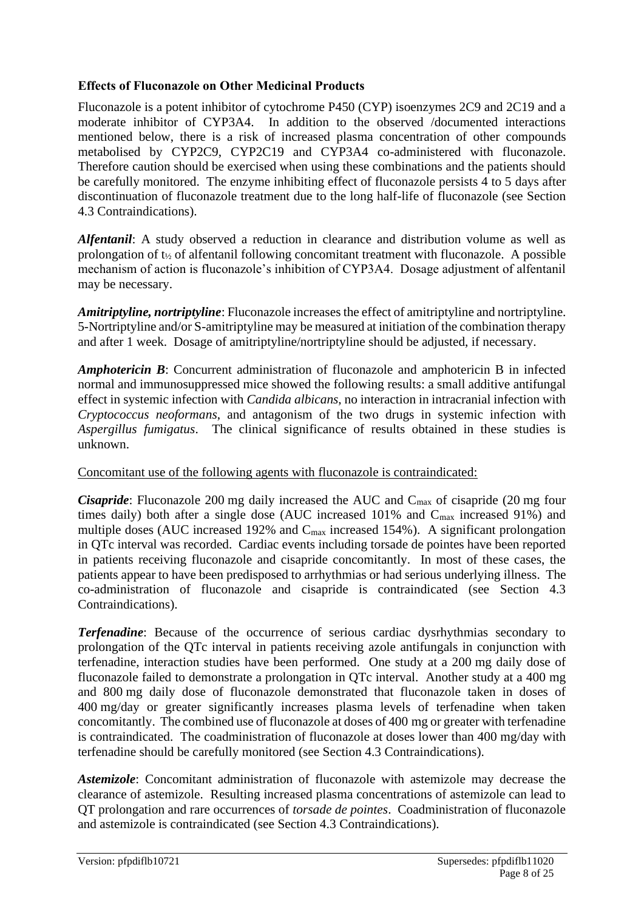#### **Effects of Fluconazole on Other Medicinal Products**

Fluconazole is a potent inhibitor of cytochrome P450 (CYP) isoenzymes 2C9 and 2C19 and a moderate inhibitor of CYP3A4. In addition to the observed /documented interactions mentioned below, there is a risk of increased plasma concentration of other compounds metabolised by CYP2C9, CYP2C19 and CYP3A4 co-administered with fluconazole. Therefore caution should be exercised when using these combinations and the patients should be carefully monitored. The enzyme inhibiting effect of fluconazole persists 4 to 5 days after discontinuation of fluconazole treatment due to the long half-life of fluconazole (see Section 4.3 Contraindications).

*Alfentanil*: A study observed a reduction in clearance and distribution volume as well as prolongation of  $t_{1/2}$  of alfentanil following concomitant treatment with fluconazole. A possible mechanism of action is fluconazole's inhibition of CYP3A4. Dosage adjustment of alfentanil may be necessary.

*Amitriptyline, nortriptyline*: Fluconazole increases the effect of amitriptyline and nortriptyline. 5-Nortriptyline and/or S-amitriptyline may be measured at initiation of the combination therapy and after 1 week. Dosage of amitriptyline/nortriptyline should be adjusted, if necessary.

*Amphotericin B*: Concurrent administration of fluconazole and amphotericin B in infected normal and immunosuppressed mice showed the following results: a small additive antifungal effect in systemic infection with *Candida albicans*, no interaction in intracranial infection with *Cryptococcus neoformans*, and antagonism of the two drugs in systemic infection with *Aspergillus fumigatus*. The clinical significance of results obtained in these studies is unknown.

#### Concomitant use of the following agents with fluconazole is contraindicated:

*Cisapride*: Fluconazole 200 mg daily increased the AUC and C<sub>max</sub> of cisapride (20 mg four times daily) both after a single dose (AUC increased  $101\%$  and  $C_{\text{max}}$  increased 91%) and multiple doses (AUC increased 192% and  $C_{\text{max}}$  increased 154%). A significant prolongation in QTc interval was recorded. Cardiac events including torsade de pointes have been reported in patients receiving fluconazole and cisapride concomitantly. In most of these cases, the patients appear to have been predisposed to arrhythmias or had serious underlying illness. The co-administration of fluconazole and cisapride is contraindicated (see Section 4.3 Contraindications).

*Terfenadine*: Because of the occurrence of serious cardiac dysrhythmias secondary to prolongation of the QTc interval in patients receiving azole antifungals in conjunction with terfenadine, interaction studies have been performed. One study at a 200 mg daily dose of fluconazole failed to demonstrate a prolongation in QTc interval. Another study at a 400 mg and 800 mg daily dose of fluconazole demonstrated that fluconazole taken in doses of 400 mg/day or greater significantly increases plasma levels of terfenadine when taken concomitantly. The combined use of fluconazole at doses of 400 mg or greater with terfenadine is contraindicated. The coadministration of fluconazole at doses lower than 400 mg/day with terfenadine should be carefully monitored (see Section 4.3 Contraindications).

*Astemizole*: Concomitant administration of fluconazole with astemizole may decrease the clearance of astemizole. Resulting increased plasma concentrations of astemizole can lead to QT prolongation and rare occurrences of *torsade de pointes*. Coadministration of fluconazole and astemizole is contraindicated (see Section 4.3 Contraindications).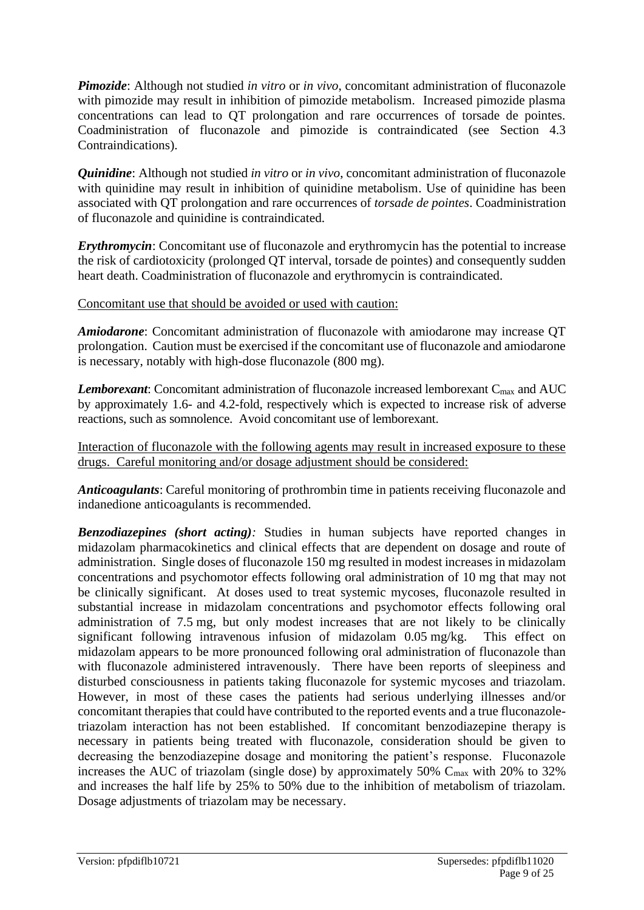*Pimozide*: Although not studied *in vitro* or *in vivo*, concomitant administration of fluconazole with pimozide may result in inhibition of pimozide metabolism. Increased pimozide plasma concentrations can lead to QT prolongation and rare occurrences of torsade de pointes. Coadministration of fluconazole and pimozide is contraindicated (see Section 4.3 Contraindications).

*Quinidine*: Although not studied *in vitro* or *in vivo*, concomitant administration of fluconazole with quinidine may result in inhibition of quinidine metabolism. Use of quinidine has been associated with QT prolongation and rare occurrences of *torsade de pointes*. Coadministration of fluconazole and quinidine is contraindicated.

*Erythromycin*: Concomitant use of fluconazole and erythromycin has the potential to increase the risk of cardiotoxicity (prolonged QT interval, torsade de pointes) and consequently sudden heart death. Coadministration of fluconazole and erythromycin is contraindicated.

Concomitant use that should be avoided or used with caution:

*Amiodarone*: Concomitant administration of fluconazole with amiodarone may increase QT prolongation. Caution must be exercised if the concomitant use of fluconazole and amiodarone is necessary, notably with high-dose fluconazole (800 mg).

**Lemborexant:** Concomitant administration of fluconazole increased lemborexant C<sub>max</sub> and AUC by approximately 1.6- and 4.2-fold, respectively which is expected to increase risk of adverse reactions, such as somnolence. Avoid concomitant use of lemborexant.

Interaction of fluconazole with the following agents may result in increased exposure to these drugs. Careful monitoring and/or dosage adjustment should be considered:

*Anticoagulants*: Careful monitoring of prothrombin time in patients receiving fluconazole and indanedione anticoagulants is recommended.

*Benzodiazepines (short acting):* Studies in human subjects have reported changes in midazolam pharmacokinetics and clinical effects that are dependent on dosage and route of administration. Single doses of fluconazole 150 mg resulted in modest increases in midazolam concentrations and psychomotor effects following oral administration of 10 mg that may not be clinically significant. At doses used to treat systemic mycoses, fluconazole resulted in substantial increase in midazolam concentrations and psychomotor effects following oral administration of 7.5 mg, but only modest increases that are not likely to be clinically significant following intravenous infusion of midazolam 0.05 mg/kg. This effect on midazolam appears to be more pronounced following oral administration of fluconazole than with fluconazole administered intravenously. There have been reports of sleepiness and disturbed consciousness in patients taking fluconazole for systemic mycoses and triazolam. However, in most of these cases the patients had serious underlying illnesses and/or concomitant therapies that could have contributed to the reported events and a true fluconazoletriazolam interaction has not been established. If concomitant benzodiazepine therapy is necessary in patients being treated with fluconazole, consideration should be given to decreasing the benzodiazepine dosage and monitoring the patient's response. Fluconazole increases the AUC of triazolam (single dose) by approximately  $50\%$  C<sub>max</sub> with  $20\%$  to  $32\%$ and increases the half life by 25% to 50% due to the inhibition of metabolism of triazolam. Dosage adjustments of triazolam may be necessary.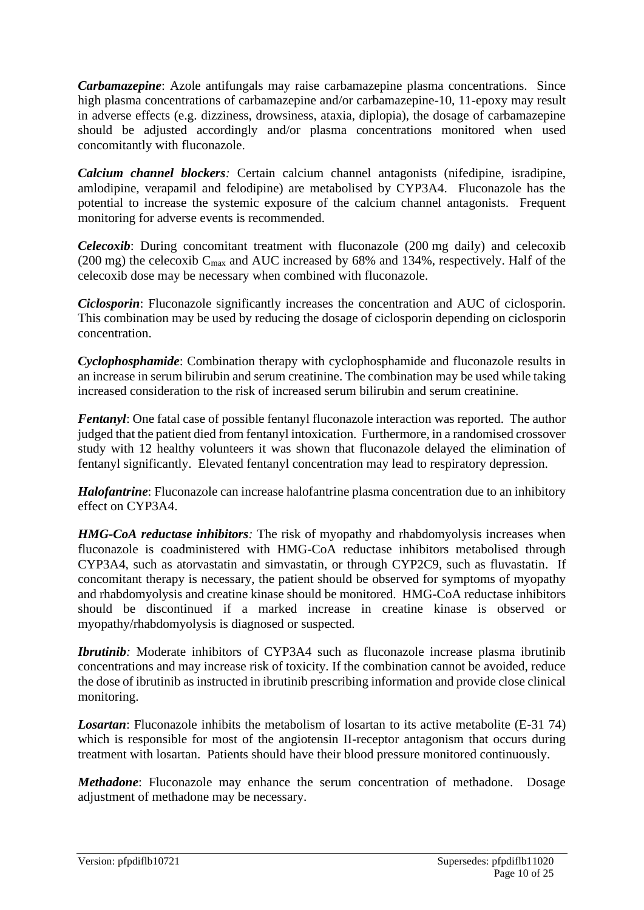*Carbamazepine*: Azole antifungals may raise carbamazepine plasma concentrations. Since high plasma concentrations of carbamazepine and/or carbamazepine-10, 11-epoxy may result in adverse effects (e.g. dizziness, drowsiness, ataxia, diplopia), the dosage of carbamazepine should be adjusted accordingly and/or plasma concentrations monitored when used concomitantly with fluconazole.

*Calcium channel blockers:* Certain calcium channel antagonists (nifedipine, isradipine, amlodipine, verapamil and felodipine) are metabolised by CYP3A4. Fluconazole has the potential to increase the systemic exposure of the calcium channel antagonists. Frequent monitoring for adverse events is recommended.

*Celecoxib*: During concomitant treatment with fluconazole (200 mg daily) and celecoxib (200 mg) the celecoxib  $C_{\text{max}}$  and AUC increased by 68% and 134%, respectively. Half of the celecoxib dose may be necessary when combined with fluconazole.

*Ciclosporin*: Fluconazole significantly increases the concentration and AUC of ciclosporin. This combination may be used by reducing the dosage of ciclosporin depending on ciclosporin concentration.

*Cyclophosphamide*: Combination therapy with cyclophosphamide and fluconazole results in an increase in serum bilirubin and serum creatinine. The combination may be used while taking increased consideration to the risk of increased serum bilirubin and serum creatinine.

*Fentanyl*: One fatal case of possible fentanyl fluconazole interaction was reported. The author judged that the patient died from fentanyl intoxication. Furthermore, in a randomised crossover study with 12 healthy volunteers it was shown that fluconazole delayed the elimination of fentanyl significantly. Elevated fentanyl concentration may lead to respiratory depression.

*Halofantrine*: Fluconazole can increase halofantrine plasma concentration due to an inhibitory effect on CYP3A4.

*HMG-CoA reductase inhibitors:* The risk of myopathy and rhabdomyolysis increases when fluconazole is coadministered with HMG-CoA reductase inhibitors metabolised through CYP3A4, such as atorvastatin and simvastatin, or through CYP2C9, such as fluvastatin. If concomitant therapy is necessary, the patient should be observed for symptoms of myopathy and rhabdomyolysis and creatine kinase should be monitored. HMG-CoA reductase inhibitors should be discontinued if a marked increase in creatine kinase is observed or myopathy/rhabdomyolysis is diagnosed or suspected.

*Ibrutinib*: Moderate inhibitors of CYP3A4 such as fluconazole increase plasma ibrutinib concentrations and may increase risk of toxicity. If the combination cannot be avoided, reduce the dose of ibrutinib as instructed in ibrutinib prescribing information and provide close clinical monitoring.

**Losartan**: Fluconazole inhibits the metabolism of losartan to its active metabolite (E-31 74) which is responsible for most of the angiotensin II-receptor antagonism that occurs during treatment with losartan. Patients should have their blood pressure monitored continuously.

*Methadone*: Fluconazole may enhance the serum concentration of methadone. Dosage adjustment of methadone may be necessary.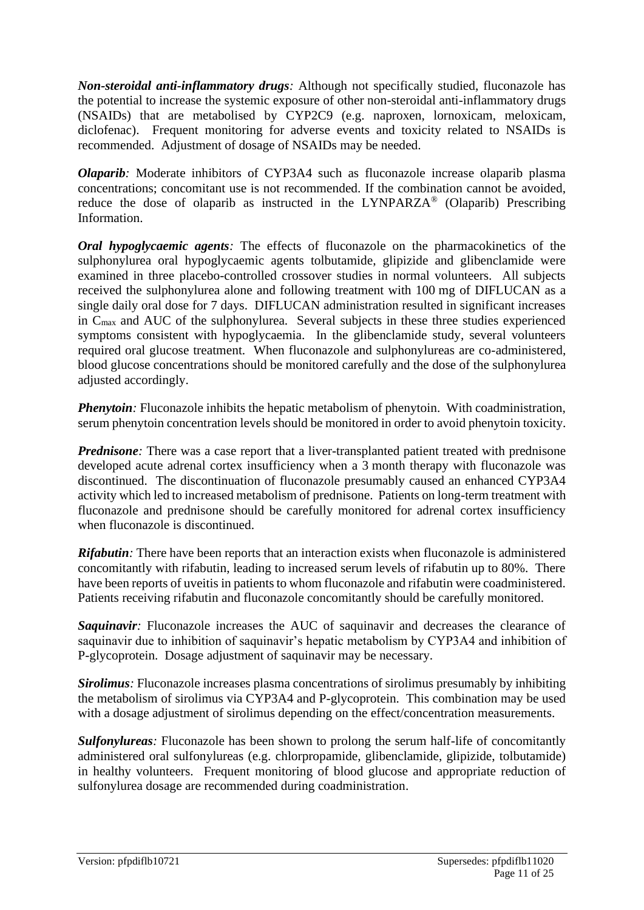*Non-steroidal anti-inflammatory drugs:* Although not specifically studied, fluconazole has the potential to increase the systemic exposure of other non-steroidal anti-inflammatory drugs (NSAIDs) that are metabolised by CYP2C9 (e.g. naproxen, lornoxicam, meloxicam, diclofenac). Frequent monitoring for adverse events and toxicity related to NSAIDs is recommended. Adjustment of dosage of NSAIDs may be needed.

*Olaparib*: Moderate inhibitors of CYP3A4 such as fluconazole increase olaparib plasma concentrations; concomitant use is not recommended. If the combination cannot be avoided, reduce the dose of olaparib as instructed in the LYNPARZA<sup>®</sup> (Olaparib) Prescribing Information.

*Oral hypoglycaemic agents*: The effects of fluconazole on the pharmacokinetics of the sulphonylurea oral hypoglycaemic agents tolbutamide, glipizide and glibenclamide were examined in three placebo-controlled crossover studies in normal volunteers. All subjects received the sulphonylurea alone and following treatment with 100 mg of DIFLUCAN as a single daily oral dose for 7 days. DIFLUCAN administration resulted in significant increases in Cmax and AUC of the sulphonylurea. Several subjects in these three studies experienced symptoms consistent with hypoglycaemia. In the glibenclamide study, several volunteers required oral glucose treatment. When fluconazole and sulphonylureas are co-administered, blood glucose concentrations should be monitored carefully and the dose of the sulphonylurea adjusted accordingly.

*Phenytoin*: Fluconazole inhibits the hepatic metabolism of phenytoin. With coadministration, serum phenytoin concentration levels should be monitored in order to avoid phenytoin toxicity.

*Prednisone*: There was a case report that a liver-transplanted patient treated with prednisone developed acute adrenal cortex insufficiency when a 3 month therapy with fluconazole was discontinued. The discontinuation of fluconazole presumably caused an enhanced CYP3A4 activity which led to increased metabolism of prednisone. Patients on long-term treatment with fluconazole and prednisone should be carefully monitored for adrenal cortex insufficiency when fluconazole is discontinued.

*Rifabutin:* There have been reports that an interaction exists when fluconazole is administered concomitantly with rifabutin, leading to increased serum levels of rifabutin up to 80%. There have been reports of uveitis in patients to whom fluconazole and rifabutin were coadministered. Patients receiving rifabutin and fluconazole concomitantly should be carefully monitored.

**Saquinavir**: Fluconazole increases the AUC of saquinavir and decreases the clearance of saquinavir due to inhibition of saquinavir's hepatic metabolism by CYP3A4 and inhibition of P-glycoprotein. Dosage adjustment of saquinavir may be necessary.

*Sirolimus:* Fluconazole increases plasma concentrations of sirolimus presumably by inhibiting the metabolism of sirolimus via CYP3A4 and P-glycoprotein. This combination may be used with a dosage adjustment of sirolimus depending on the effect/concentration measurements.

*Sulfonylureas:* Fluconazole has been shown to prolong the serum half-life of concomitantly administered oral sulfonylureas (e.g. chlorpropamide, glibenclamide, glipizide, tolbutamide) in healthy volunteers. Frequent monitoring of blood glucose and appropriate reduction of sulfonylurea dosage are recommended during coadministration.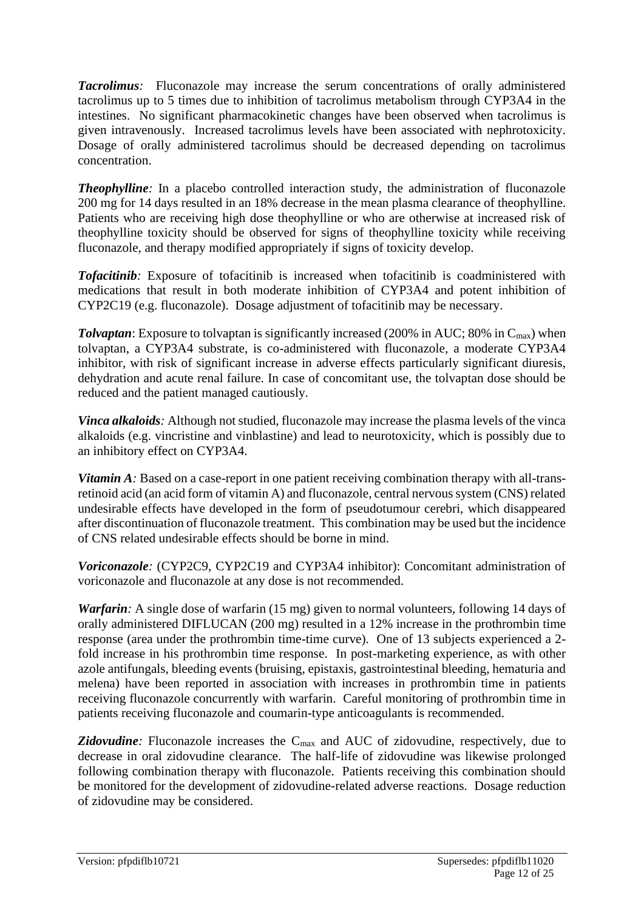*Tacrolimus:* Fluconazole may increase the serum concentrations of orally administered tacrolimus up to 5 times due to inhibition of tacrolimus metabolism through CYP3A4 in the intestines. No significant pharmacokinetic changes have been observed when tacrolimus is given intravenously. Increased tacrolimus levels have been associated with nephrotoxicity. Dosage of orally administered tacrolimus should be decreased depending on tacrolimus concentration.

**Theophylline**: In a placebo controlled interaction study, the administration of fluconazole 200 mg for 14 days resulted in an 18% decrease in the mean plasma clearance of theophylline. Patients who are receiving high dose theophylline or who are otherwise at increased risk of theophylline toxicity should be observed for signs of theophylline toxicity while receiving fluconazole, and therapy modified appropriately if signs of toxicity develop.

*Tofacitinib:* Exposure of tofacitinib is increased when tofacitinib is coadministered with medications that result in both moderate inhibition of CYP3A4 and potent inhibition of CYP2C19 (e.g. fluconazole). Dosage adjustment of tofacitinib may be necessary.

**Tolvaptan**: Exposure to tolvaptan is significantly increased (200% in AUC; 80% in C<sub>max</sub>) when tolvaptan, a CYP3A4 substrate, is co-administered with fluconazole, a moderate CYP3A4 inhibitor, with risk of significant increase in adverse effects particularly significant diuresis, dehydration and acute renal failure. In case of concomitant use, the tolvaptan dose should be reduced and the patient managed cautiously.

*Vinca alkaloids:* Although not studied, fluconazole may increase the plasma levels of the vinca alkaloids (e.g. vincristine and vinblastine) and lead to neurotoxicity, which is possibly due to an inhibitory effect on CYP3A4.

*Vitamin A*: Based on a case-report in one patient receiving combination therapy with all-transretinoid acid (an acid form of vitamin A) and fluconazole, central nervous system (CNS) related undesirable effects have developed in the form of pseudotumour cerebri, which disappeared after discontinuation of fluconazole treatment. This combination may be used but the incidence of CNS related undesirable effects should be borne in mind.

*Voriconazole:* (CYP2C9, CYP2C19 and CYP3A4 inhibitor): Concomitant administration of voriconazole and fluconazole at any dose is not recommended.

*Warfarin*: A single dose of warfarin (15 mg) given to normal volunteers, following 14 days of orally administered DIFLUCAN (200 mg) resulted in a 12% increase in the prothrombin time response (area under the prothrombin time-time curve). One of 13 subjects experienced a 2 fold increase in his prothrombin time response. In post-marketing experience, as with other azole antifungals, bleeding events (bruising, epistaxis, gastrointestinal bleeding, hematuria and melena) have been reported in association with increases in prothrombin time in patients receiving fluconazole concurrently with warfarin. Careful monitoring of prothrombin time in patients receiving fluconazole and coumarin-type anticoagulants is recommended.

**Zidovudine**: Fluconazole increases the C<sub>max</sub> and AUC of zidovudine, respectively, due to decrease in oral zidovudine clearance. The half-life of zidovudine was likewise prolonged following combination therapy with fluconazole. Patients receiving this combination should be monitored for the development of zidovudine-related adverse reactions. Dosage reduction of zidovudine may be considered.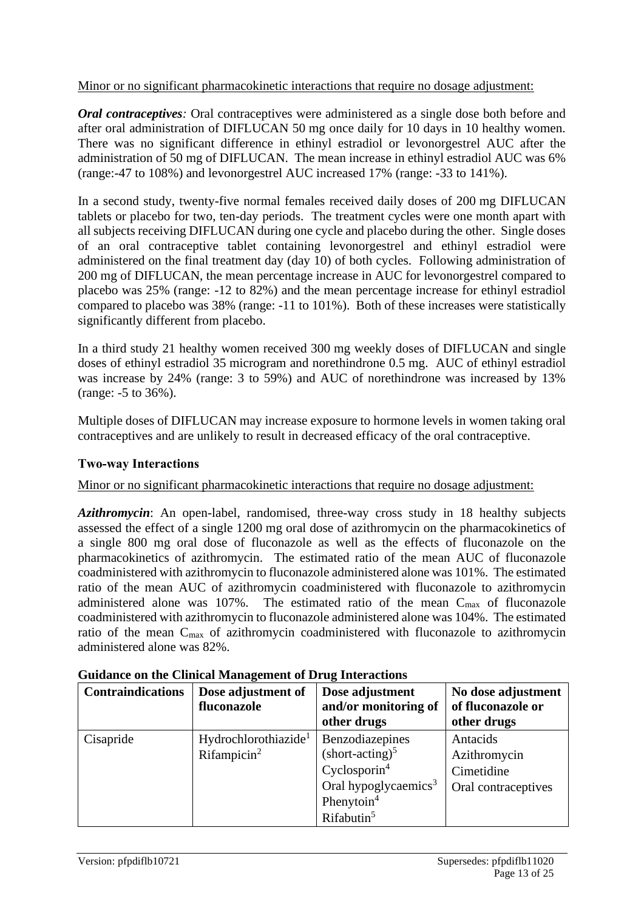#### Minor or no significant pharmacokinetic interactions that require no dosage adjustment:

*Oral contraceptives*: Oral contraceptives were administered as a single dose both before and after oral administration of DIFLUCAN 50 mg once daily for 10 days in 10 healthy women. There was no significant difference in ethinyl estradiol or levonorgestrel AUC after the administration of 50 mg of DIFLUCAN. The mean increase in ethinyl estradiol AUC was 6% (range:-47 to 108%) and levonorgestrel AUC increased 17% (range: -33 to 141%).

In a second study, twenty-five normal females received daily doses of 200 mg DIFLUCAN tablets or placebo for two, ten-day periods. The treatment cycles were one month apart with all subjects receiving DIFLUCAN during one cycle and placebo during the other. Single doses of an oral contraceptive tablet containing levonorgestrel and ethinyl estradiol were administered on the final treatment day (day 10) of both cycles. Following administration of 200 mg of DIFLUCAN, the mean percentage increase in AUC for levonorgestrel compared to placebo was 25% (range: -12 to 82%) and the mean percentage increase for ethinyl estradiol compared to placebo was 38% (range: -11 to 101%). Both of these increases were statistically significantly different from placebo.

In a third study 21 healthy women received 300 mg weekly doses of DIFLUCAN and single doses of ethinyl estradiol 35 microgram and norethindrone 0.5 mg. AUC of ethinyl estradiol was increase by 24% (range: 3 to 59%) and AUC of norethindrone was increased by 13% (range: -5 to 36%).

Multiple doses of DIFLUCAN may increase exposure to hormone levels in women taking oral contraceptives and are unlikely to result in decreased efficacy of the oral contraceptive.

#### **Two-way Interactions**

Minor or no significant pharmacokinetic interactions that require no dosage adjustment:

*Azithromycin*: An open-label, randomised, three-way cross study in 18 healthy subjects assessed the effect of a single 1200 mg oral dose of azithromycin on the pharmacokinetics of a single 800 mg oral dose of fluconazole as well as the effects of fluconazole on the pharmacokinetics of azithromycin. The estimated ratio of the mean AUC of fluconazole coadministered with azithromycin to fluconazole administered alone was 101%. The estimated ratio of the mean AUC of azithromycin coadministered with fluconazole to azithromycin administered alone was  $107\%$ . The estimated ratio of the mean  $C_{\text{max}}$  of fluconazole coadministered with azithromycin to fluconazole administered alone was 104%. The estimated ratio of the mean Cmax of azithromycin coadministered with fluconazole to azithromycin administered alone was 82%.

| <b>Contraindications</b> | Dose adjustment of<br>fluconazole                           | Dose adjustment<br>and/or monitoring of<br>other drugs                                                                                                           | No dose adjustment<br>of fluconazole or<br>other drugs        |
|--------------------------|-------------------------------------------------------------|------------------------------------------------------------------------------------------------------------------------------------------------------------------|---------------------------------------------------------------|
| Cisapride                | Hydrochlorothiazide <sup>1</sup><br>Rifampicin <sup>2</sup> | Benzodiazepines<br>$(short\text{-}acting)^5$<br>Cyclosporin <sup>4</sup><br>Oral hypoglycaemics <sup>3</sup><br>Phenytoin <sup>4</sup><br>Rifabutin <sup>5</sup> | Antacids<br>Azithromycin<br>Cimetidine<br>Oral contraceptives |

**Guidance on the Clinical Management of Drug Interactions**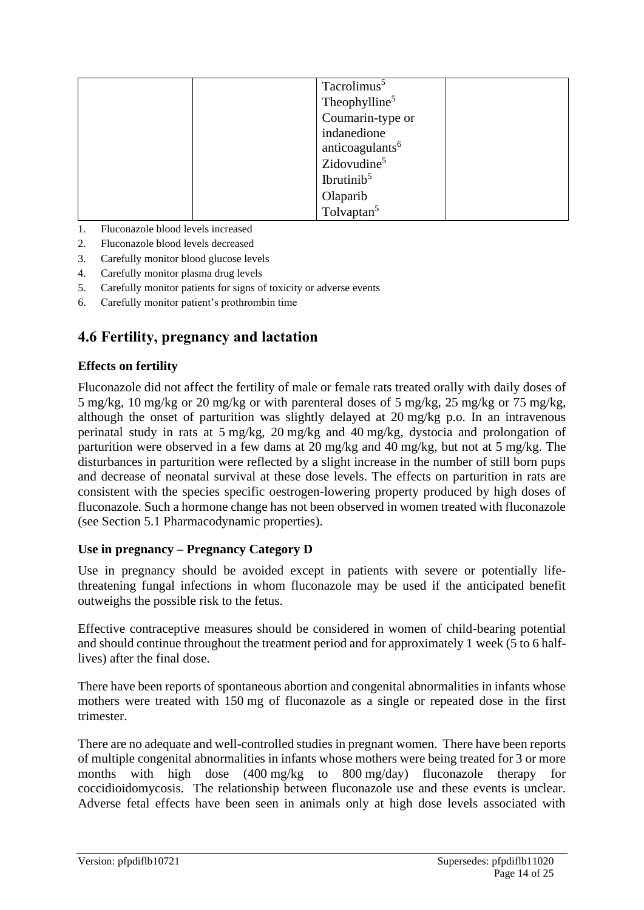| Tacrolimus <sup>5</sup>     |
|-----------------------------|
| Theophylline <sup>5</sup>   |
| Coumarin-type or            |
| indanedione                 |
| anticoagulants <sup>6</sup> |
| Zidovudine <sup>5</sup>     |
| Ibrutinib <sup>5</sup>      |
| Olaparib                    |
| Tolvaptan <sup>5</sup>      |

- 1. Fluconazole blood levels increased
- 2. Fluconazole blood levels decreased
- 3. Carefully monitor blood glucose levels
- 4. Carefully monitor plasma drug levels
- 5. Carefully monitor patients for signs of toxicity or adverse events
- 6. Carefully monitor patient's prothrombin time

### **4.6 Fertility, pregnancy and lactation**

#### **Effects on fertility**

Fluconazole did not affect the fertility of male or female rats treated orally with daily doses of 5 mg/kg, 10 mg/kg or 20 mg/kg or with parenteral doses of 5 mg/kg, 25 mg/kg or 75 mg/kg, although the onset of parturition was slightly delayed at 20 mg/kg p.o. In an intravenous perinatal study in rats at 5 mg/kg, 20 mg/kg and 40 mg/kg, dystocia and prolongation of parturition were observed in a few dams at 20 mg/kg and 40 mg/kg, but not at 5 mg/kg. The disturbances in parturition were reflected by a slight increase in the number of still born pups and decrease of neonatal survival at these dose levels. The effects on parturition in rats are consistent with the species specific oestrogen-lowering property produced by high doses of fluconazole. Such a hormone change has not been observed in women treated with fluconazole (see Section 5.1 Pharmacodynamic properties).

#### **Use in pregnancy – Pregnancy Category D**

Use in pregnancy should be avoided except in patients with severe or potentially lifethreatening fungal infections in whom fluconazole may be used if the anticipated benefit outweighs the possible risk to the fetus.

Effective contraceptive measures should be considered in women of child-bearing potential and should continue throughout the treatment period and for approximately 1 week (5 to 6 halflives) after the final dose.

There have been reports of spontaneous abortion and congenital abnormalities in infants whose mothers were treated with 150 mg of fluconazole as a single or repeated dose in the first trimester.

There are no adequate and well-controlled studies in pregnant women. There have been reports of multiple congenital abnormalities in infants whose mothers were being treated for 3 or more months with high dose (400 mg/kg to 800 mg/day) fluconazole therapy for coccidioidomycosis. The relationship between fluconazole use and these events is unclear. Adverse fetal effects have been seen in animals only at high dose levels associated with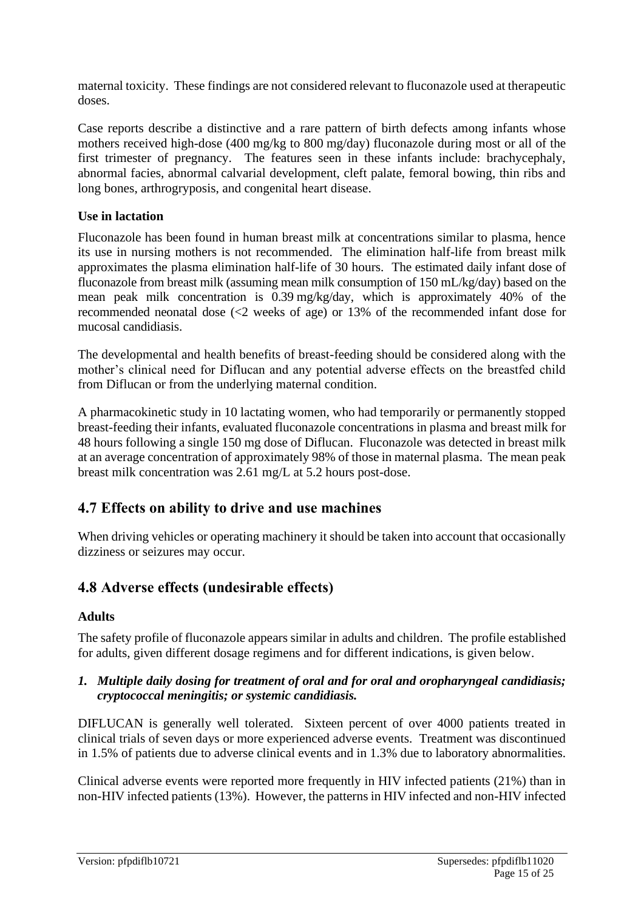maternal toxicity. These findings are not considered relevant to fluconazole used at therapeutic doses.

Case reports describe a distinctive and a rare pattern of birth defects among infants whose mothers received high-dose (400 mg/kg to 800 mg/day) fluconazole during most or all of the first trimester of pregnancy. The features seen in these infants include: brachycephaly, abnormal facies, abnormal calvarial development, cleft palate, femoral bowing, thin ribs and long bones, arthrogryposis, and congenital heart disease.

#### **Use in lactation**

Fluconazole has been found in human breast milk at concentrations similar to plasma, hence its use in nursing mothers is not recommended. The elimination half-life from breast milk approximates the plasma elimination half-life of 30 hours. The estimated daily infant dose of fluconazole from breast milk (assuming mean milk consumption of 150 mL/kg/day) based on the mean peak milk concentration is 0.39 mg/kg/day, which is approximately 40% of the recommended neonatal dose (<2 weeks of age) or 13% of the recommended infant dose for mucosal candidiasis.

The developmental and health benefits of breast-feeding should be considered along with the mother's clinical need for Diflucan and any potential adverse effects on the breastfed child from Diflucan or from the underlying maternal condition.

A pharmacokinetic study in 10 lactating women, who had temporarily or permanently stopped breast-feeding their infants, evaluated fluconazole concentrations in plasma and breast milk for 48 hours following a single 150 mg dose of Diflucan. Fluconazole was detected in breast milk at an average concentration of approximately 98% of those in maternal plasma. The mean peak breast milk concentration was 2.61 mg/L at 5.2 hours post-dose.

### **4.7 Effects on ability to drive and use machines**

When driving vehicles or operating machinery it should be taken into account that occasionally dizziness or seizures may occur.

# **4.8 Adverse effects (undesirable effects)**

#### **Adults**

The safety profile of fluconazole appears similar in adults and children. The profile established for adults, given different dosage regimens and for different indications, is given below.

#### *1. Multiple daily dosing for treatment of oral and for oral and oropharyngeal candidiasis; cryptococcal meningitis; or systemic candidiasis.*

DIFLUCAN is generally well tolerated. Sixteen percent of over 4000 patients treated in clinical trials of seven days or more experienced adverse events. Treatment was discontinued in 1.5% of patients due to adverse clinical events and in 1.3% due to laboratory abnormalities.

Clinical adverse events were reported more frequently in HIV infected patients (21%) than in non-HIV infected patients (13%). However, the patterns in HIV infected and non-HIV infected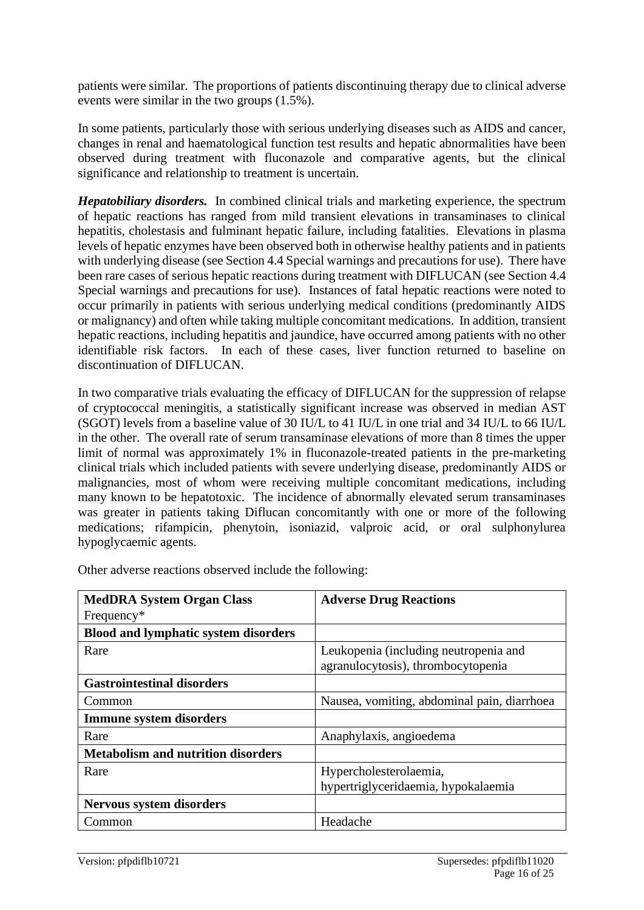patients were similar. The proportions of patients discontinuing therapy due to clinical adverse events were similar in the two groups (1.5%).

In some patients, particularly those with serious underlying diseases such as AIDS and cancer, changes in renal and haematological function test results and hepatic abnormalities have been observed during treatment with fluconazole and comparative agents, but the clinical significance and relationship to treatment is uncertain.

*Hepatobiliary disorders.* In combined clinical trials and marketing experience, the spectrum of hepatic reactions has ranged from mild transient elevations in transaminases to clinical hepatitis, cholestasis and fulminant hepatic failure, including fatalities. Elevations in plasma levels of hepatic enzymes have been observed both in otherwise healthy patients and in patients with underlying disease (see Section 4.4 Special warnings and precautions for use). There have been rare cases of serious hepatic reactions during treatment with DIFLUCAN (see Section 4.4 Special warnings and precautions for use). Instances of fatal hepatic reactions were noted to occur primarily in patients with serious underlying medical conditions (predominantly AIDS or malignancy) and often while taking multiple concomitant medications. In addition, transient hepatic reactions, including hepatitis and jaundice, have occurred among patients with no other identifiable risk factors. In each of these cases, liver function returned to baseline on discontinuation of DIFLUCAN.

In two comparative trials evaluating the efficacy of DIFLUCAN for the suppression of relapse of cryptococcal meningitis, a statistically significant increase was observed in median AST (SGOT) levels from a baseline value of 30 IU/L to 41 IU/L in one trial and 34 IU/L to 66 IU/L in the other. The overall rate of serum transaminase elevations of more than 8 times the upper limit of normal was approximately 1% in fluconazole-treated patients in the pre-marketing clinical trials which included patients with severe underlying disease, predominantly AIDS or malignancies, most of whom were receiving multiple concomitant medications, including many known to be hepatotoxic. The incidence of abnormally elevated serum transaminases was greater in patients taking Diflucan concomitantly with one or more of the following medications; rifampicin, phenytoin, isoniazid, valproic acid, or oral sulphonylurea hypoglycaemic agents.

| <b>MedDRA System Organ Class</b>            | <b>Adverse Drug Reactions</b>                                               |
|---------------------------------------------|-----------------------------------------------------------------------------|
| Frequency*                                  |                                                                             |
| <b>Blood and lymphatic system disorders</b> |                                                                             |
| Rare                                        | Leukopenia (including neutropenia and<br>agranulocytosis), thrombocytopenia |
| <b>Gastrointestinal disorders</b>           |                                                                             |
| Common                                      | Nausea, vomiting, abdominal pain, diarrhoea                                 |
| <b>Immune system disorders</b>              |                                                                             |
| Rare                                        | Anaphylaxis, angioedema                                                     |
| <b>Metabolism and nutrition disorders</b>   |                                                                             |
| Rare                                        | Hypercholesterolaemia,                                                      |
|                                             | hypertriglyceridaemia, hypokalaemia                                         |
| <b>Nervous system disorders</b>             |                                                                             |
| Common                                      | Headache                                                                    |

Other adverse reactions observed include the following: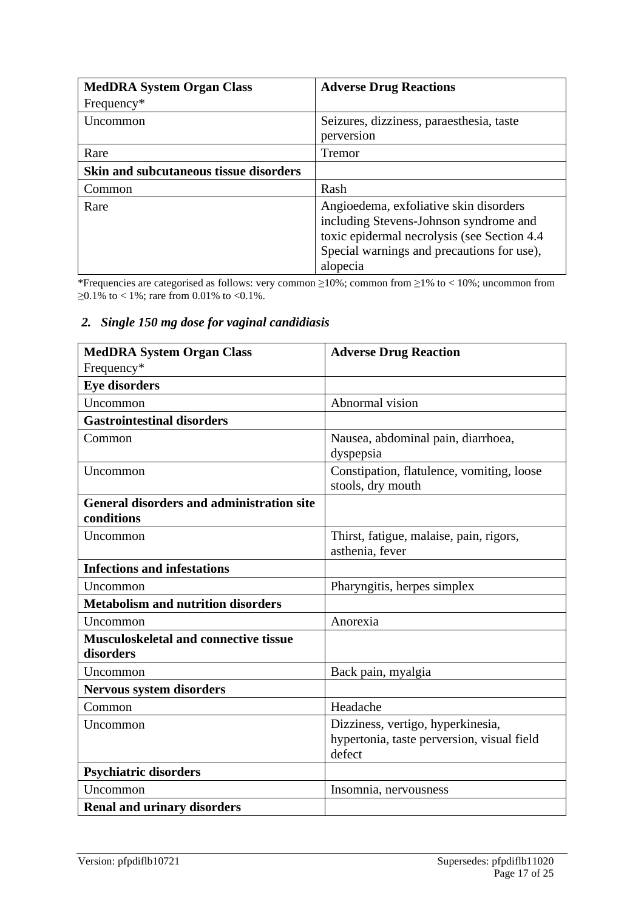| <b>MedDRA System Organ Class</b>       | <b>Adverse Drug Reactions</b>                                                                                                                                                              |
|----------------------------------------|--------------------------------------------------------------------------------------------------------------------------------------------------------------------------------------------|
| Frequency*                             |                                                                                                                                                                                            |
| Uncommon                               | Seizures, dizziness, paraesthesia, taste                                                                                                                                                   |
|                                        | perversion                                                                                                                                                                                 |
| Rare                                   | <b>Tremor</b>                                                                                                                                                                              |
| Skin and subcutaneous tissue disorders |                                                                                                                                                                                            |
| Common                                 | Rash                                                                                                                                                                                       |
| Rare                                   | Angioedema, exfoliative skin disorders<br>including Stevens-Johnson syndrome and<br>toxic epidermal necrolysis (see Section 4.4)<br>Special warnings and precautions for use),<br>alopecia |

\*Frequencies are categorised as follows: very common ≥10%; common from ≥1% to < 10%; uncommon from  $\geq$ 0.1% to < 1%; rare from 0.01% to <0.1%.

#### *2. Single 150 mg dose for vaginal candidiasis*

| <b>MedDRA System Organ Class</b>                          | <b>Adverse Drug Reaction</b>                                   |
|-----------------------------------------------------------|----------------------------------------------------------------|
| Frequency*                                                |                                                                |
| <b>Eye disorders</b>                                      |                                                                |
| Uncommon                                                  | Abnormal vision                                                |
| <b>Gastrointestinal disorders</b>                         |                                                                |
| Common                                                    | Nausea, abdominal pain, diarrhoea,<br>dyspepsia                |
| Uncommon                                                  | Constipation, flatulence, vomiting, loose<br>stools, dry mouth |
| <b>General disorders and administration site</b>          |                                                                |
| conditions                                                |                                                                |
| Uncommon                                                  | Thirst, fatigue, malaise, pain, rigors,<br>asthenia, fever     |
| <b>Infections and infestations</b>                        |                                                                |
| Uncommon                                                  | Pharyngitis, herpes simplex                                    |
| <b>Metabolism and nutrition disorders</b>                 |                                                                |
| Uncommon                                                  | Anorexia                                                       |
| <b>Musculoskeletal and connective tissue</b><br>disorders |                                                                |
| Uncommon                                                  | Back pain, myalgia                                             |
| <b>Nervous system disorders</b>                           |                                                                |
| Common                                                    | Headache                                                       |
| Uncommon                                                  | Dizziness, vertigo, hyperkinesia,                              |
|                                                           | hypertonia, taste perversion, visual field<br>defect           |
| <b>Psychiatric disorders</b>                              |                                                                |
| Uncommon                                                  | Insomnia, nervousness                                          |
| <b>Renal and urinary disorders</b>                        |                                                                |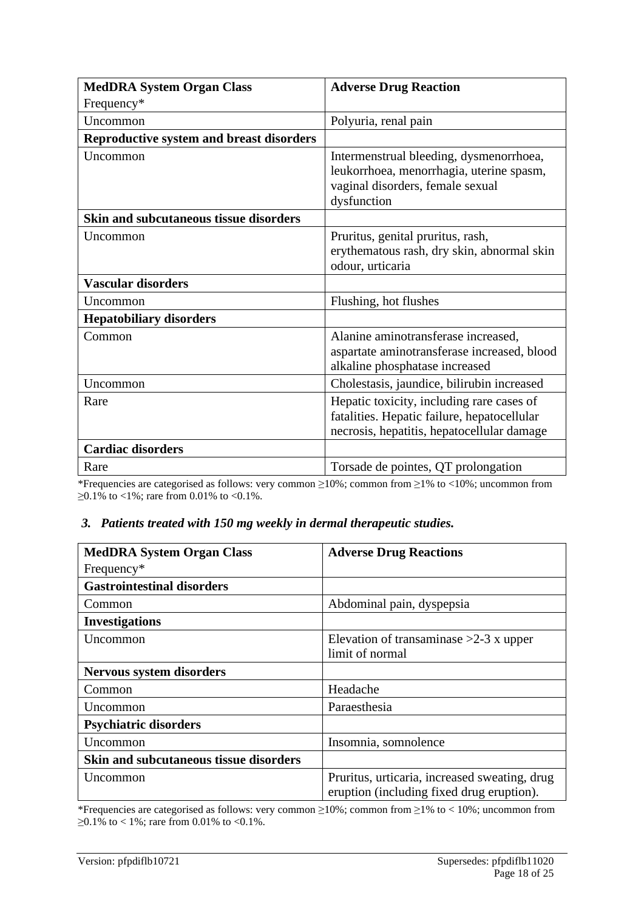| <b>MedDRA System Organ Class</b>                | <b>Adverse Drug Reaction</b>                                                                                                           |
|-------------------------------------------------|----------------------------------------------------------------------------------------------------------------------------------------|
| Frequency*                                      |                                                                                                                                        |
| Uncommon                                        | Polyuria, renal pain                                                                                                                   |
| <b>Reproductive system and breast disorders</b> |                                                                                                                                        |
| Uncommon                                        | Intermenstrual bleeding, dysmenorrhoea,<br>leukorrhoea, menorrhagia, uterine spasm,<br>vaginal disorders, female sexual<br>dysfunction |
| Skin and subcutaneous tissue disorders          |                                                                                                                                        |
| Uncommon                                        | Pruritus, genital pruritus, rash,<br>erythematous rash, dry skin, abnormal skin<br>odour, urticaria                                    |
| <b>Vascular disorders</b>                       |                                                                                                                                        |
| Uncommon                                        | Flushing, hot flushes                                                                                                                  |
| <b>Hepatobiliary disorders</b>                  |                                                                                                                                        |
| Common                                          | Alanine aminotransferase increased,<br>aspartate aminotransferase increased, blood<br>alkaline phosphatase increased                   |
| Uncommon                                        | Cholestasis, jaundice, bilirubin increased                                                                                             |
| Rare                                            | Hepatic toxicity, including rare cases of<br>fatalities. Hepatic failure, hepatocellular<br>necrosis, hepatitis, hepatocellular damage |
| <b>Cardiac disorders</b>                        |                                                                                                                                        |
| Rare                                            | Torsade de pointes, QT prolongation                                                                                                    |

\*Frequencies are categorised as follows: very common ≥10%; common from ≥1% to <10%; uncommon from  $≥0.1\%$  to <1%; rare from 0.01% to <0.1%.

#### *3. Patients treated with 150 mg weekly in dermal therapeutic studies.*

| <b>MedDRA System Organ Class</b>       | <b>Adverse Drug Reactions</b>                                                              |
|----------------------------------------|--------------------------------------------------------------------------------------------|
| Frequency*                             |                                                                                            |
| <b>Gastrointestinal disorders</b>      |                                                                                            |
| Common                                 | Abdominal pain, dyspepsia                                                                  |
| <b>Investigations</b>                  |                                                                                            |
| Uncommon                               | Elevation of transaminase $>2-3$ x upper<br>limit of normal                                |
| <b>Nervous system disorders</b>        |                                                                                            |
| Common                                 | Headache                                                                                   |
| Uncommon                               | Paraesthesia                                                                               |
| <b>Psychiatric disorders</b>           |                                                                                            |
| Uncommon                               | Insomnia, somnolence                                                                       |
| Skin and subcutaneous tissue disorders |                                                                                            |
| Uncommon                               | Pruritus, urticaria, increased sweating, drug<br>eruption (including fixed drug eruption). |

\*Frequencies are categorised as follows: very common ≥10%; common from ≥1% to < 10%; uncommon from  $≥0.1\%$  to < 1%; rare from 0.01% to <0.1%.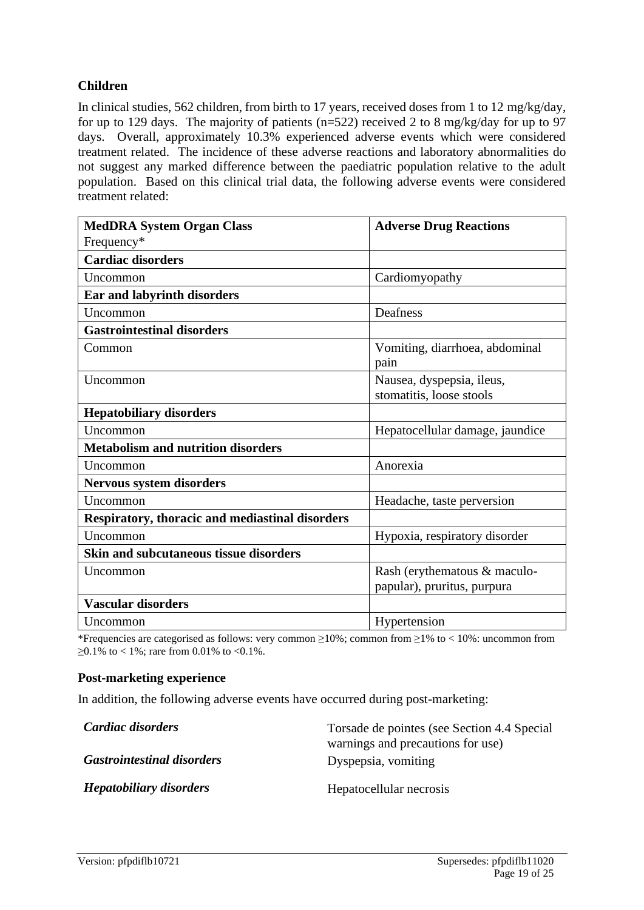#### **Children**

In clinical studies, 562 children, from birth to 17 years, received doses from 1 to 12 mg/kg/day, for up to 129 days. The majority of patients (n=522) received 2 to 8 mg/kg/day for up to 97 days. Overall, approximately 10.3% experienced adverse events which were considered treatment related. The incidence of these adverse reactions and laboratory abnormalities do not suggest any marked difference between the paediatric population relative to the adult population. Based on this clinical trial data, the following adverse events were considered treatment related:

| <b>MedDRA System Organ Class</b>                | <b>Adverse Drug Reactions</b>   |
|-------------------------------------------------|---------------------------------|
| Frequency*                                      |                                 |
| <b>Cardiac disorders</b>                        |                                 |
| Uncommon                                        | Cardiomyopathy                  |
| Ear and labyrinth disorders                     |                                 |
| Uncommon                                        | Deafness                        |
| <b>Gastrointestinal disorders</b>               |                                 |
| Common                                          | Vomiting, diarrhoea, abdominal  |
|                                                 | pain                            |
| Uncommon                                        | Nausea, dyspepsia, ileus,       |
|                                                 | stomatitis, loose stools        |
| <b>Hepatobiliary disorders</b>                  |                                 |
| Uncommon                                        | Hepatocellular damage, jaundice |
| <b>Metabolism and nutrition disorders</b>       |                                 |
| Uncommon                                        | Anorexia                        |
| <b>Nervous system disorders</b>                 |                                 |
| Uncommon                                        | Headache, taste perversion      |
| Respiratory, thoracic and mediastinal disorders |                                 |
| Uncommon                                        | Hypoxia, respiratory disorder   |
| <b>Skin and subcutaneous tissue disorders</b>   |                                 |
| Uncommon                                        | Rash (erythematous & maculo-    |
|                                                 | papular), pruritus, purpura     |
| <b>Vascular disorders</b>                       |                                 |
| Uncommon                                        | Hypertension                    |

\*Frequencies are categorised as follows: very common ≥10%; common from ≥1% to < 10%: uncommon from  $\geq 0.1\%$  to < 1%; rare from 0.01% to < 0.1%.

#### **Post-marketing experience**

In addition, the following adverse events have occurred during post-marketing:

| Cardiac disorders                 | Torsade de pointes (see Section 4.4 Special |
|-----------------------------------|---------------------------------------------|
|                                   | warnings and precautions for use)           |
| <b>Gastrointestinal disorders</b> | Dyspepsia, vomiting                         |
| <b>Hepatobiliary disorders</b>    | Hepatocellular necrosis                     |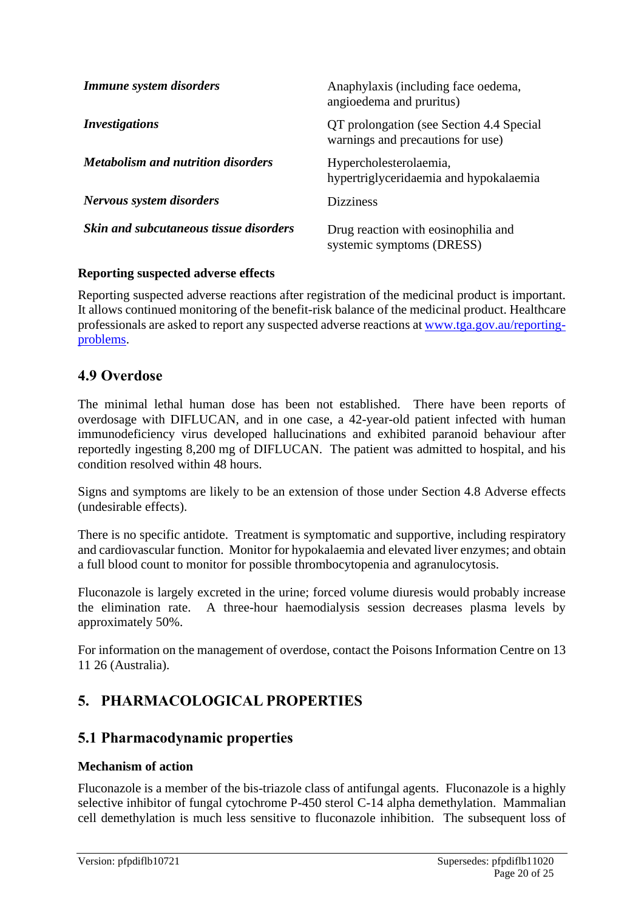| Immune system disorders                       | Anaphylaxis (including face oedema,<br>angioedema and pruritus)               |
|-----------------------------------------------|-------------------------------------------------------------------------------|
| <i>Investigations</i>                         | QT prolongation (see Section 4.4 Special<br>warnings and precautions for use) |
| <i>Metabolism and nutrition disorders</i>     | Hypercholesterolaemia,<br>hypertriglyceridaemia and hypokalaemia              |
| Nervous system disorders                      | <b>Dizziness</b>                                                              |
| <b>Skin and subcutaneous tissue disorders</b> | Drug reaction with eosinophilia and<br>systemic symptoms (DRESS)              |

#### **Reporting suspected adverse effects**

Reporting suspected adverse reactions after registration of the medicinal product is important. It allows continued monitoring of the benefit-risk balance of the medicinal product. Healthcare professionals are asked to report any suspected adverse reactions at [www.tga.gov.au/reporting](http://www.tga.gov.au/reporting-problems)[problems.](http://www.tga.gov.au/reporting-problems)

### **4.9 Overdose**

The minimal lethal human dose has been not established. There have been reports of overdosage with DIFLUCAN, and in one case, a 42-year-old patient infected with human immunodeficiency virus developed hallucinations and exhibited paranoid behaviour after reportedly ingesting 8,200 mg of DIFLUCAN. The patient was admitted to hospital, and his condition resolved within 48 hours.

Signs and symptoms are likely to be an extension of those under Section 4.8 Adverse effects (undesirable effects).

There is no specific antidote. Treatment is symptomatic and supportive, including respiratory and cardiovascular function. Monitor for hypokalaemia and elevated liver enzymes; and obtain a full blood count to monitor for possible thrombocytopenia and agranulocytosis.

Fluconazole is largely excreted in the urine; forced volume diuresis would probably increase the elimination rate. A three-hour haemodialysis session decreases plasma levels by approximately 50%.

For information on the management of overdose, contact the Poisons Information Centre on 13 11 26 (Australia).

### **5. PHARMACOLOGICAL PROPERTIES**

### **5.1 Pharmacodynamic properties**

#### **Mechanism of action**

Fluconazole is a member of the bis-triazole class of antifungal agents. Fluconazole is a highly selective inhibitor of fungal cytochrome P-450 sterol C-14 alpha demethylation. Mammalian cell demethylation is much less sensitive to fluconazole inhibition. The subsequent loss of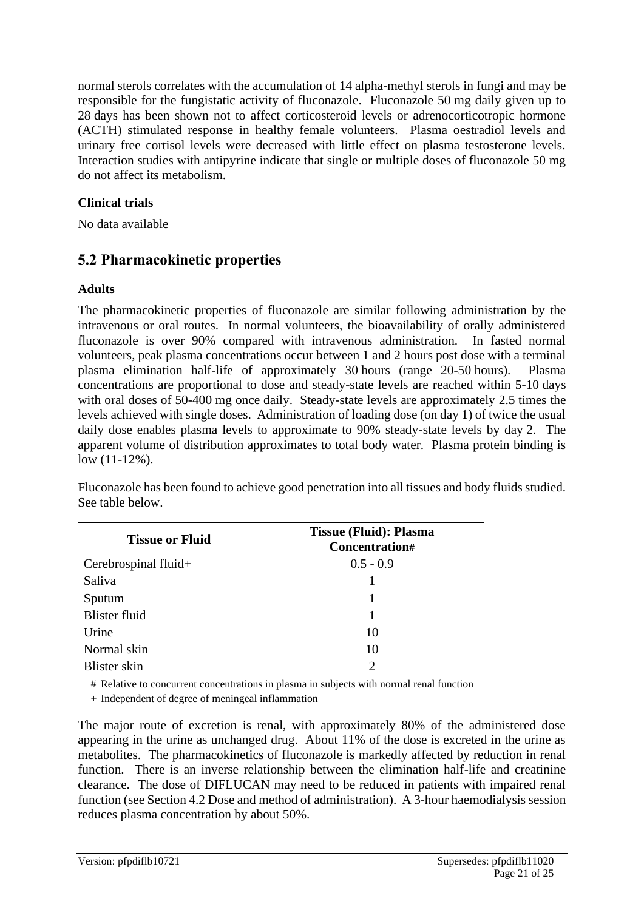normal sterols correlates with the accumulation of 14 alpha-methyl sterols in fungi and may be responsible for the fungistatic activity of fluconazole. Fluconazole 50 mg daily given up to 28 days has been shown not to affect corticosteroid levels or adrenocorticotropic hormone (ACTH) stimulated response in healthy female volunteers. Plasma oestradiol levels and urinary free cortisol levels were decreased with little effect on plasma testosterone levels. Interaction studies with antipyrine indicate that single or multiple doses of fluconazole 50 mg do not affect its metabolism.

### **Clinical trials**

No data available

# **5.2 Pharmacokinetic properties**

### **Adults**

The pharmacokinetic properties of fluconazole are similar following administration by the intravenous or oral routes. In normal volunteers, the bioavailability of orally administered fluconazole is over 90% compared with intravenous administration. In fasted normal volunteers, peak plasma concentrations occur between 1 and 2 hours post dose with a terminal plasma elimination half-life of approximately 30 hours (range 20-50 hours). Plasma concentrations are proportional to dose and steady-state levels are reached within 5-10 days with oral doses of 50-400 mg once daily. Steady-state levels are approximately 2.5 times the levels achieved with single doses. Administration of loading dose (on day 1) of twice the usual daily dose enables plasma levels to approximate to 90% steady-state levels by day 2. The apparent volume of distribution approximates to total body water. Plasma protein binding is low (11-12%).

Fluconazole has been found to achieve good penetration into all tissues and body fluids studied. See table below.

| <b>Tissue or Fluid</b> | <b>Tissue (Fluid): Plasma</b><br>Concentration# |
|------------------------|-------------------------------------------------|
| Cerebrospinal fluid+   | $0.5 - 0.9$                                     |
| Saliva                 |                                                 |
| Sputum                 |                                                 |
| <b>Blister fluid</b>   |                                                 |
| Urine                  | 10                                              |
| Normal skin            | 10                                              |
| Blister skin           | $\mathcal{D}_{\mathcal{A}}$                     |

# Relative to concurrent concentrations in plasma in subjects with normal renal function

+ Independent of degree of meningeal inflammation

The major route of excretion is renal, with approximately 80% of the administered dose appearing in the urine as unchanged drug. About 11% of the dose is excreted in the urine as metabolites. The pharmacokinetics of fluconazole is markedly affected by reduction in renal function. There is an inverse relationship between the elimination half-life and creatinine clearance. The dose of DIFLUCAN may need to be reduced in patients with impaired renal function (see Section 4.2 Dose and method of administration). A 3-hour haemodialysis session reduces plasma concentration by about 50%.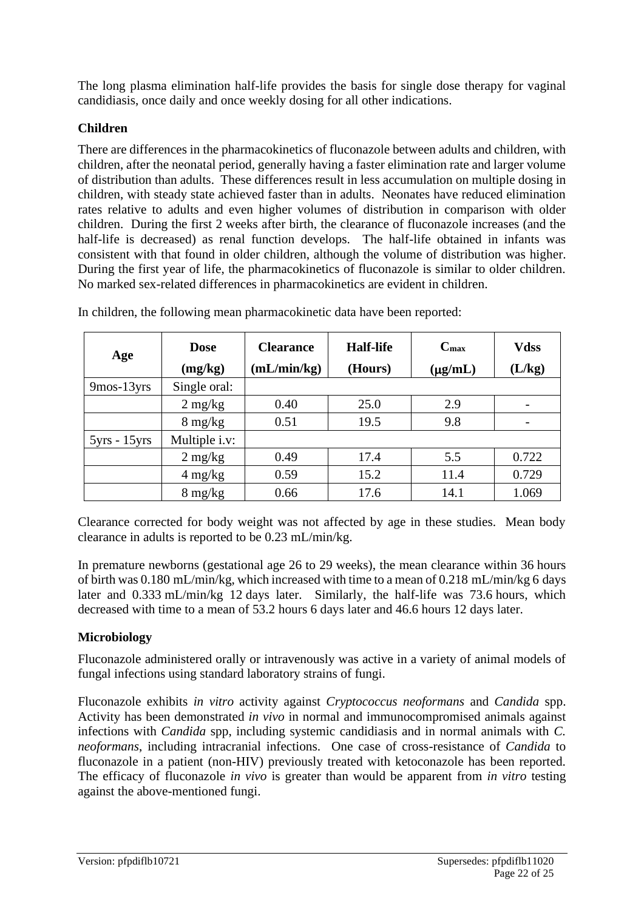The long plasma elimination half-life provides the basis for single dose therapy for vaginal candidiasis, once daily and once weekly dosing for all other indications.

#### **Children**

There are differences in the pharmacokinetics of fluconazole between adults and children, with children, after the neonatal period, generally having a faster elimination rate and larger volume of distribution than adults. These differences result in less accumulation on multiple dosing in children, with steady state achieved faster than in adults. Neonates have reduced elimination rates relative to adults and even higher volumes of distribution in comparison with older children. During the first 2 weeks after birth, the clearance of fluconazole increases (and the half-life is decreased) as renal function develops. The half-life obtained in infants was consistent with that found in older children, although the volume of distribution was higher. During the first year of life, the pharmacokinetics of fluconazole is similar to older children. No marked sex-related differences in pharmacokinetics are evident in children.

| Age            | <b>Dose</b><br>(mg/kg) | <b>Clearance</b><br>(mL/min/kg) | <b>Half-life</b><br>(Hours) | $C_{\rm max}$<br>$(\mu g/mL)$ | <b>Vdss</b><br>(L/kg) |
|----------------|------------------------|---------------------------------|-----------------------------|-------------------------------|-----------------------|
| $9$ mos-13 yrs | Single oral:           |                                 |                             |                               |                       |
|                | $2 \text{ mg/kg}$      | 0.40                            | 25.0                        | 2.9                           |                       |
|                | $8 \text{ mg/kg}$      | 0.51                            | 19.5                        | 9.8                           |                       |
| $5yrs - 15yrs$ | Multiple i.v:          |                                 |                             |                               |                       |
|                | $2 \text{ mg/kg}$      | 0.49                            | 17.4                        | 5.5                           | 0.722                 |
|                | $4 \text{ mg/kg}$      | 0.59                            | 15.2                        | 11.4                          | 0.729                 |
|                | $8 \text{ mg/kg}$      | 0.66                            | 17.6                        | 14.1                          | 1.069                 |

In children, the following mean pharmacokinetic data have been reported:

Clearance corrected for body weight was not affected by age in these studies. Mean body clearance in adults is reported to be 0.23 mL/min/kg.

In premature newborns (gestational age 26 to 29 weeks), the mean clearance within 36 hours of birth was 0.180 mL/min/kg, which increased with time to a mean of 0.218 mL/min/kg 6 days later and 0.333 mL/min/kg 12 days later. Similarly, the half-life was 73.6 hours, which decreased with time to a mean of 53.2 hours 6 days later and 46.6 hours 12 days later.

#### **Microbiology**

Fluconazole administered orally or intravenously was active in a variety of animal models of fungal infections using standard laboratory strains of fungi.

Fluconazole exhibits *in vitro* activity against *Cryptococcus neoformans* and *Candida* spp. Activity has been demonstrated *in vivo* in normal and immunocompromised animals against infections with *Candida* spp, including systemic candidiasis and in normal animals with *C. neoformans*, including intracranial infections. One case of cross-resistance of *Candida* to fluconazole in a patient (non-HIV) previously treated with ketoconazole has been reported. The efficacy of fluconazole *in vivo* is greater than would be apparent from *in vitro* testing against the above-mentioned fungi.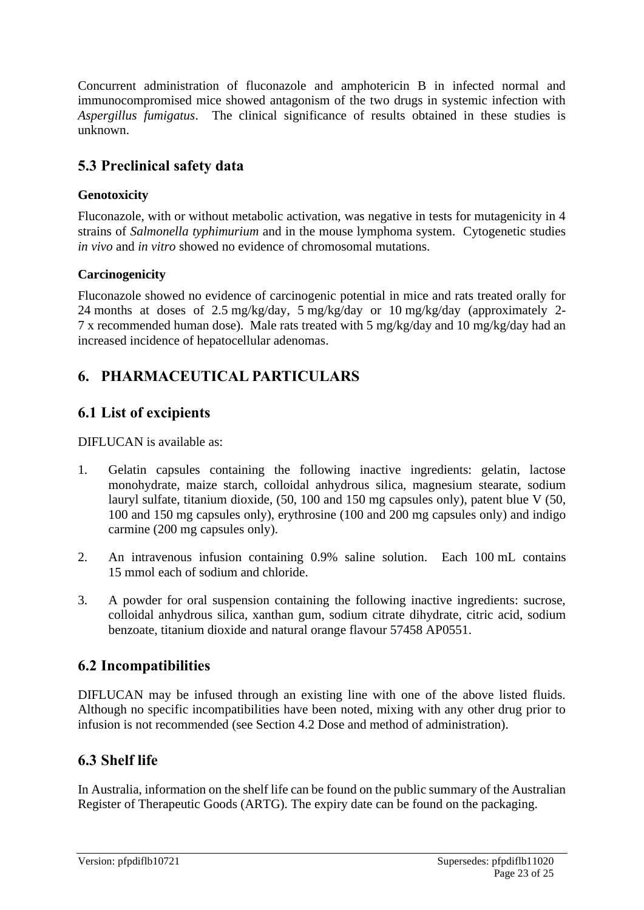Concurrent administration of fluconazole and amphotericin B in infected normal and immunocompromised mice showed antagonism of the two drugs in systemic infection with *Aspergillus fumigatus*. The clinical significance of results obtained in these studies is unknown.

# **5.3 Preclinical safety data**

### **Genotoxicity**

Fluconazole, with or without metabolic activation, was negative in tests for mutagenicity in 4 strains of *Salmonella typhimurium* and in the mouse lymphoma system. Cytogenetic studies *in vivo* and *in vitro* showed no evidence of chromosomal mutations.

### **Carcinogenicity**

Fluconazole showed no evidence of carcinogenic potential in mice and rats treated orally for 24 months at doses of 2.5 mg/kg/day, 5 mg/kg/day or 10 mg/kg/day (approximately 2- 7 x recommended human dose). Male rats treated with 5 mg/kg/day and 10 mg/kg/day had an increased incidence of hepatocellular adenomas.

# **6. PHARMACEUTICAL PARTICULARS**

# **6.1 List of excipients**

DIFLUCAN is available as:

- 1. Gelatin capsules containing the following inactive ingredients: gelatin, lactose monohydrate, maize starch, colloidal anhydrous silica, magnesium stearate, sodium lauryl sulfate, titanium dioxide, (50, 100 and 150 mg capsules only), patent blue V (50, 100 and 150 mg capsules only), erythrosine (100 and 200 mg capsules only) and indigo carmine (200 mg capsules only).
- 2. An intravenous infusion containing 0.9% saline solution. Each 100 mL contains 15 mmol each of sodium and chloride.
- 3. A powder for oral suspension containing the following inactive ingredients: sucrose, colloidal anhydrous silica, xanthan gum, sodium citrate dihydrate, citric acid, sodium benzoate, titanium dioxide and natural orange flavour 57458 AP0551.

### **6.2 Incompatibilities**

DIFLUCAN may be infused through an existing line with one of the above listed fluids. Although no specific incompatibilities have been noted, mixing with any other drug prior to infusion is not recommended (see Section 4.2 Dose and method of administration).

### **6.3 Shelf life**

In Australia, information on the shelf life can be found on the public summary of the Australian Register of Therapeutic Goods (ARTG). The expiry date can be found on the packaging.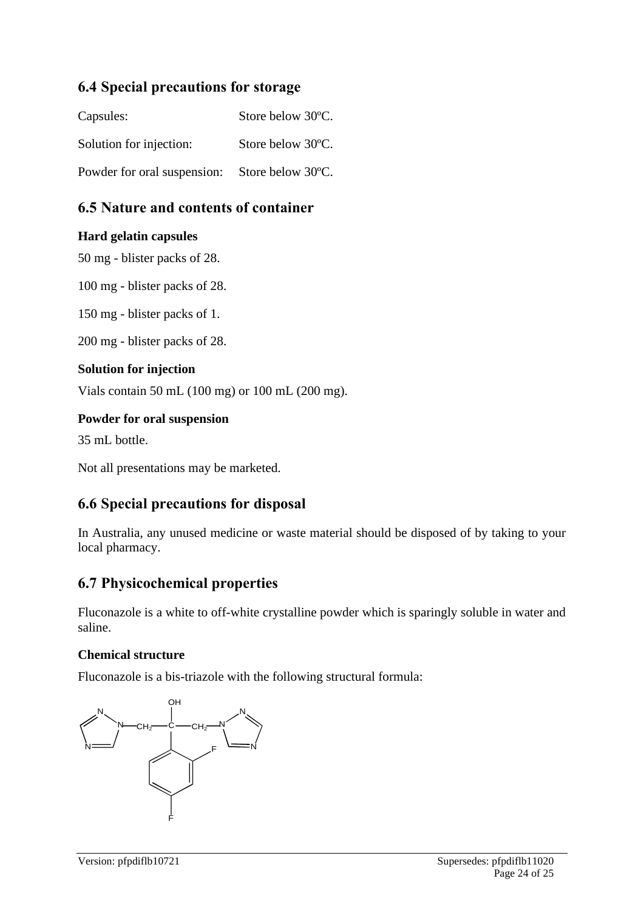### **6.4 Special precautions for storage**

| Capsules:                   | Store below 30°C. |
|-----------------------------|-------------------|
| Solution for injection:     | Store below 30°C. |
| Powder for oral suspension: | Store below 30°C. |

# **6.5 Nature and contents of container**

#### **Hard gelatin capsules**

50 mg - blister packs of 28.

100 mg - blister packs of 28.

150 mg - blister packs of 1.

200 mg - blister packs of 28.

#### **Solution for injection**

Vials contain 50 mL (100 mg) or 100 mL (200 mg).

#### **Powder for oral suspension**

35 mL bottle.

Not all presentations may be marketed.

### **6.6 Special precautions for disposal**

In Australia, any unused medicine or waste material should be disposed of by taking to your local pharmacy.

### **6.7 Physicochemical properties**

Fluconazole is a white to off-white crystalline powder which is sparingly soluble in water and saline.

#### **Chemical structure**

Fluconazole is a bis-triazole with the following structural formula: